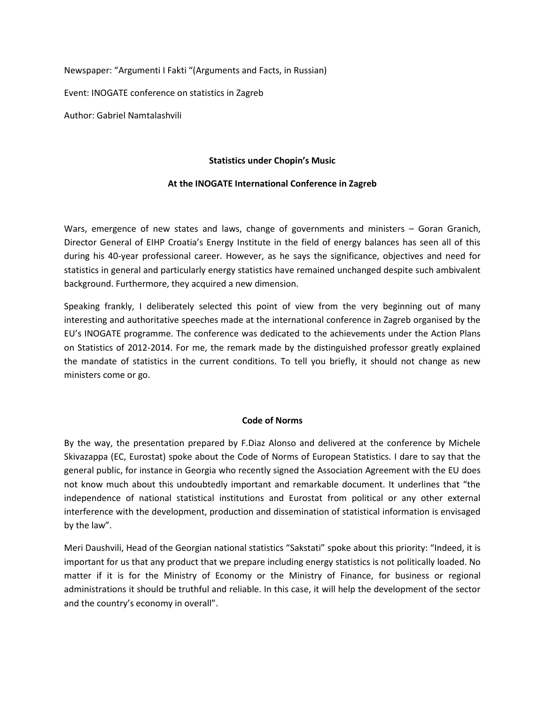Newspaper: "Argumenti I Fakti "(Arguments and Facts, in Russian)

Event: INOGATE conference on statistics in Zagreb

Author: Gabriel Namtalashvili

#### **Statistics under Chopin's Music**

#### **At the INOGATE International Conference in Zagreb**

Wars, emergence of new states and laws, change of governments and ministers – Goran Granich, Director General of EIHP Croatia's Energy Institute in the field of energy balances has seen all of this during his 40-year professional career. However, as he says the significance, objectives and need for statistics in general and particularly energy statistics have remained unchanged despite such ambivalent background. Furthermore, they acquired a new dimension.

Speaking frankly, I deliberately selected this point of view from the very beginning out of many interesting and authoritative speeches made at the international conference in Zagreb organised by the EU's INOGATE programme. The conference was dedicated to the achievements under the Action Plans on Statistics of 2012-2014. For me, the remark made by the distinguished professor greatly explained the mandate of statistics in the current conditions. To tell you briefly, it should not change as new ministers come or go.

#### **Code of Norms**

By the way, the presentation prepared by F.Diaz Alonso and delivered at the conference by Michele Skivazappa (EC, Eurostat) spoke about the Code of Norms of European Statistics. I dare to say that the general public, for instance in Georgia who recently signed the Association Agreement with the EU does not know much about this undoubtedly important and remarkable document. It underlines that "the independence of national statistical institutions and Eurostat from political or any other external interference with the development, production and dissemination of statistical information is envisaged by the law".

Meri Daushvili, Head of the Georgian national statistics "Sakstati" spoke about this priority: "Indeed, it is important for us that any product that we prepare including energy statistics is not politically loaded. No matter if it is for the Ministry of Economy or the Ministry of Finance, for business or regional administrations it should be truthful and reliable. In this case, it will help the development of the sector and the country's economy in overall".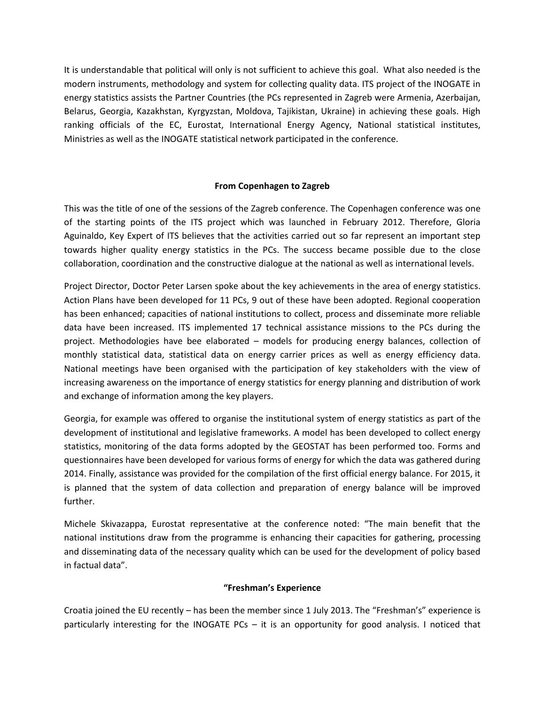It is understandable that political will only is not sufficient to achieve this goal. What also needed is the modern instruments, methodology and system for collecting quality data. ITS project of the INOGATE in energy statistics assists the Partner Countries (the PCs represented in Zagreb were Armenia, Azerbaijan, Belarus, Georgia, Kazakhstan, Kyrgyzstan, Moldova, Tajikistan, Ukraine) in achieving these goals. High ranking officials of the EC, Eurostat, International Energy Agency, National statistical institutes, Ministries as well as the INOGATE statistical network participated in the conference.

# **From Copenhagen to Zagreb**

This was the title of one of the sessions of the Zagreb conference. The Copenhagen conference was one of the starting points of the ITS project which was launched in February 2012. Therefore, Gloria Aguinaldo, Key Expert of ITS believes that the activities carried out so far represent an important step towards higher quality energy statistics in the PCs. The success became possible due to the close collaboration, coordination and the constructive dialogue at the national as well as international levels.

Project Director, Doctor Peter Larsen spoke about the key achievements in the area of energy statistics. Action Plans have been developed for 11 PCs, 9 out of these have been adopted. Regional cooperation has been enhanced; capacities of national institutions to collect, process and disseminate more reliable data have been increased. ITS implemented 17 technical assistance missions to the PCs during the project. Methodologies have bee elaborated – models for producing energy balances, collection of monthly statistical data, statistical data on energy carrier prices as well as energy efficiency data. National meetings have been organised with the participation of key stakeholders with the view of increasing awareness on the importance of energy statistics for energy planning and distribution of work and exchange of information among the key players.

Georgia, for example was offered to organise the institutional system of energy statistics as part of the development of institutional and legislative frameworks. A model has been developed to collect energy statistics, monitoring of the data forms adopted by the GEOSTAT has been performed too. Forms and questionnaires have been developed for various forms of energy for which the data was gathered during 2014. Finally, assistance was provided for the compilation of the first official energy balance. For 2015, it is planned that the system of data collection and preparation of energy balance will be improved further.

Michele Skivazappa, Eurostat representative at the conference noted: "The main benefit that the national institutions draw from the programme is enhancing their capacities for gathering, processing and disseminating data of the necessary quality which can be used for the development of policy based in factual data".

# **"Freshman's Experience**

Croatia joined the EU recently – has been the member since 1 July 2013. The "Freshman's" experience is particularly interesting for the INOGATE PCs – it is an opportunity for good analysis. I noticed that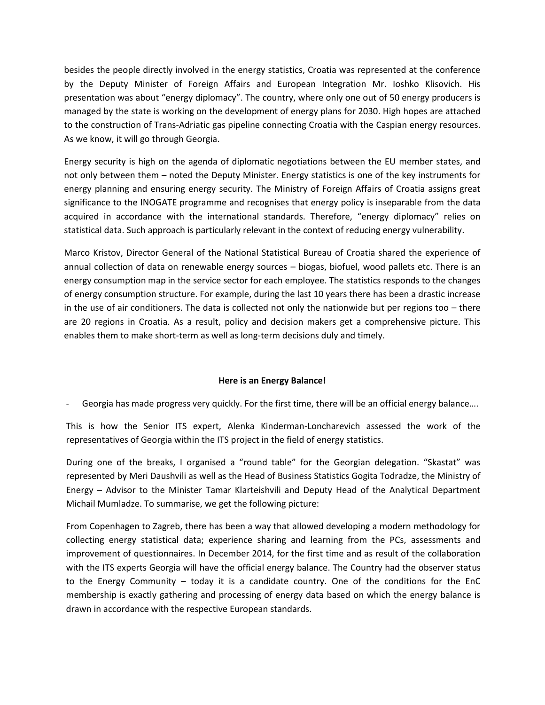besides the people directly involved in the energy statistics, Croatia was represented at the conference by the Deputy Minister of Foreign Affairs and European Integration Mr. Ioshko Klisovich. His presentation was about "energy diplomacy". The country, where only one out of 50 energy producers is managed by the state is working on the development of energy plans for 2030. High hopes are attached to the construction of Trans-Adriatic gas pipeline connecting Croatia with the Caspian energy resources. As we know, it will go through Georgia.

Energy security is high on the agenda of diplomatic negotiations between the EU member states, and not only between them – noted the Deputy Minister. Energy statistics is one of the key instruments for energy planning and ensuring energy security. The Ministry of Foreign Affairs of Croatia assigns great significance to the INOGATE programme and recognises that energy policy is inseparable from the data acquired in accordance with the international standards. Therefore, "energy diplomacy" relies on statistical data. Such approach is particularly relevant in the context of reducing energy vulnerability.

Marco Kristov, Director General of the National Statistical Bureau of Croatia shared the experience of annual collection of data on renewable energy sources – biogas, biofuel, wood pallets etc. There is an energy consumption map in the service sector for each employee. The statistics responds to the changes of energy consumption structure. For example, during the last 10 years there has been a drastic increase in the use of air conditioners. The data is collected not only the nationwide but per regions too – there are 20 regions in Croatia. As a result, policy and decision makers get a comprehensive picture. This enables them to make short-term as well as long-term decisions duly and timely.

# **Here is an Energy Balance!**

Georgia has made progress very quickly. For the first time, there will be an official energy balance....

This is how the Senior ITS expert, Alenka Kinderman-Loncharevich assessed the work of the representatives of Georgia within the ITS project in the field of energy statistics.

During one of the breaks, I organised a "round table" for the Georgian delegation. "Skastat" was represented by Meri Daushvili as well as the Head of Business Statistics Gogita Todradze, the Ministry of Energy – Advisor to the Minister Tamar Klarteishvili and Deputy Head of the Analytical Department Michail Mumladze. To summarise, we get the following picture:

From Copenhagen to Zagreb, there has been a way that allowed developing a modern methodology for collecting energy statistical data; experience sharing and learning from the PCs, assessments and improvement of questionnaires. In December 2014, for the first time and as result of the collaboration with the ITS experts Georgia will have the official energy balance. The Country had the observer status to the Energy Community – today it is a candidate country. One of the conditions for the EnC membership is exactly gathering and processing of energy data based on which the energy balance is drawn in accordance with the respective European standards.